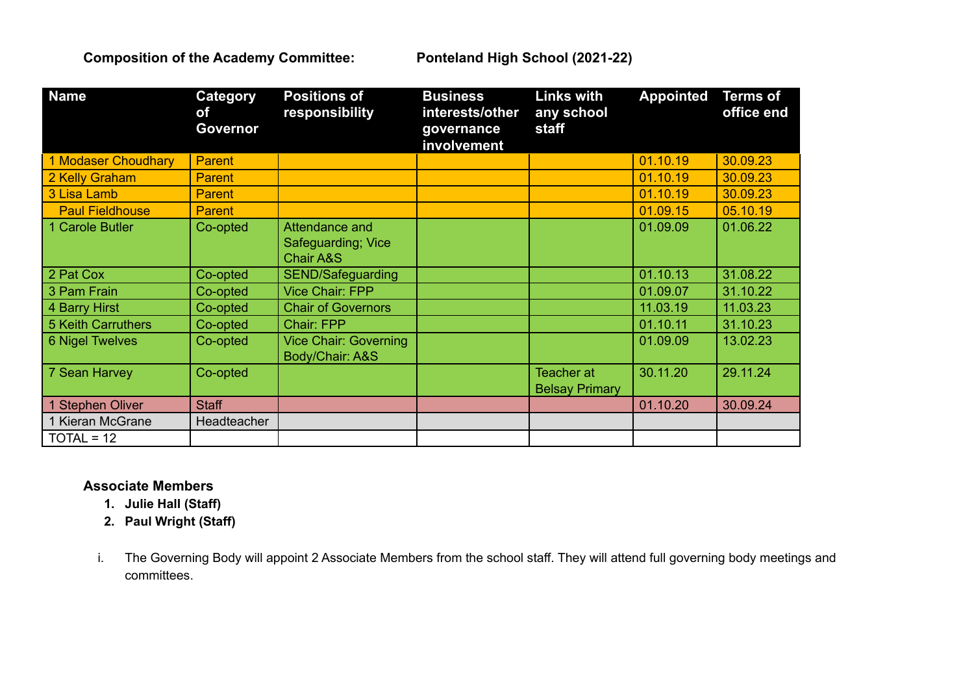**Composition of the Academy Committee: Ponteland High School (2021-22)**

| <b>Name</b>            | Category<br>of<br>Governor | <b>Positions of</b><br>responsibility             | <b>Business</b><br>interests/other<br>governance<br>involvement | <b>Links with</b><br>any school<br>staff   | <b>Appointed</b> | <b>Terms of</b><br>office end |
|------------------------|----------------------------|---------------------------------------------------|-----------------------------------------------------------------|--------------------------------------------|------------------|-------------------------------|
| 1 Modaser Choudhary    | <b>Parent</b>              |                                                   |                                                                 |                                            | 01.10.19         | 30.09.23                      |
| 2 Kelly Graham         | <b>Parent</b>              |                                                   |                                                                 |                                            | 01.10.19         | 30.09.23                      |
| 3 Lisa Lamb            | <b>Parent</b>              |                                                   |                                                                 |                                            | 01.10.19         | 30.09.23                      |
| <b>Paul Fieldhouse</b> | <b>Parent</b>              |                                                   |                                                                 |                                            | 01.09.15         | 05.10.19                      |
| 1 Carole Butler        | Co-opted                   | Attendance and<br>Safeguarding; Vice<br>Chair A&S |                                                                 |                                            | 01.09.09         | 01.06.22                      |
| 2 Pat Cox              | Co-opted                   | SEND/Safeguarding                                 |                                                                 |                                            | 01.10.13         | 31.08.22                      |
| 3 Pam Frain            | Co-opted                   | Vice Chair: FPP                                   |                                                                 |                                            | 01.09.07         | 31.10.22                      |
| 4 Barry Hirst          | Co-opted                   | <b>Chair of Governors</b>                         |                                                                 |                                            | 11.03.19         | 11.03.23                      |
| 5 Keith Carruthers     | Co-opted                   | Chair: FPP                                        |                                                                 |                                            | 01.10.11         | 31.10.23                      |
| <b>6 Nigel Twelves</b> | Co-opted                   | <b>Vice Chair: Governing</b><br>Body/Chair: A&S   |                                                                 |                                            | 01.09.09         | 13.02.23                      |
| 7 Sean Harvey          | Co-opted                   |                                                   |                                                                 | <b>Teacher at</b><br><b>Belsay Primary</b> | 30.11.20         | 29.11.24                      |
| 1 Stephen Oliver       | <b>Staff</b>               |                                                   |                                                                 |                                            | 01.10.20         | 30.09.24                      |
| 1 Kieran McGrane       | Headteacher                |                                                   |                                                                 |                                            |                  |                               |
| $TOTAL = 12$           |                            |                                                   |                                                                 |                                            |                  |                               |

## **Associate Members**

- **1. Julie Hall (Staff)**
- **2. Paul Wright (Staff)**
- i. The Governing Body will appoint 2 Associate Members from the school staff. They will attend full governing body meetings and committees.